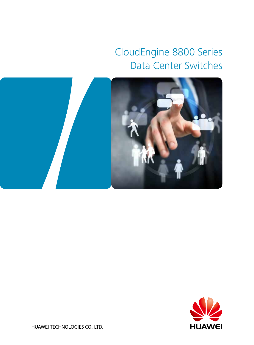# CloudEngine 8800 Series Data Center Switches





HUAWEI TECHNOLOGIES CO., LTD.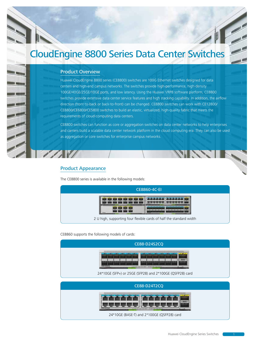## CloudEngine 8800 Series Data Center Switches

#### Product Overview

Huawei CloudEngine 8800 series (CE8800) switches are 100G Ethernet switches designed for data centers and high-end campus networks. The switches provide high-performance, high-density 100GE/40GE/25GE/10GE ports, and low latency. Using the Huawei VRP8 software platform, CE8800 switches provide extensive data center service features and high stacking capability. In addition, the airflow direction (front-to-back or back-to-front) can be changed. CE8800 switches can work with CE12800/ CE8800/CE6800/CE5800 switches to build an elastic, virtualized, high-quality fabric that meets the requirements of cloud-computing data centers.

CE8800 switches can function as core or aggregation switches on data center networks to help enterprises and carriers build a scalable data center network platform in the cloud computing era. They can also be used as aggregation or core switches for enterprise campus networks.

#### Product Appearance

11 V

The CE8800 series is available in the following models:



CE8860 supports the following models of cards:

| CE88-D24S2CQ                                             |
|----------------------------------------------------------|
| ::::                                                     |
| 24*10GE (SFP+) or 25GE (SFP28) and 2*100GE (QSFP28) card |
| <b>CE88-D24T2CQ</b>                                      |
|                                                          |

24\*10GE (BASE-T) and 2\*100GE (QSFP28) card

15 Tel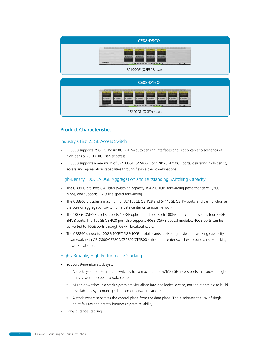| CE88-D8CQ                                                                                                                                                         |
|-------------------------------------------------------------------------------------------------------------------------------------------------------------------|
| <b>CONTRACTOR</b><br><b>COLORED BY</b><br><b>COLORADO</b><br><b>CTAY I</b><br>A 2222 T<br>122227<br>A 2222 T<br>43333<br><b>EXIM-DRO</b><br>8*100GE (QSFP28) card |
|                                                                                                                                                                   |
|                                                                                                                                                                   |
| <b>CE88-D16Q</b>                                                                                                                                                  |
| <b>TELEVISION</b><br>A 2222 V.<br>A 2222 Y.<br>433327<br>A 2222 V.<br>122239<br>A 2222 F<br>43223<br>A 2222 V.<br><b>ENGINEER</b>                                 |

#### Product Characteristics

#### Industry's First 25GE Access Switch

- CE8860 supports 25GE (SFP28)/10GE (SFP+) auto-sensing interfaces and is applicable to scenarios of high-density 25GE/10GE server access.
- CE8860 supports a maximum of 32\*100GE, 64\*40GE, or 128\*25GE/10GE ports, delivering high-density access and aggregation capabilities through flexible card combinations.

#### High-Density 100GE/40GE Aggregation and Outstanding Switching Capacity

- The CE8800 provides 6.4 Tbit/s switching capacity in a 2 U TOR, forwarding performance of 3,200 Mpps, and supports L2/L3 line-speed forwarding.
- The CE8800 provides a maximum of 32\*100GE QSFP28 and 64\*40GE QSFP+ ports, and can function as the core or aggregation switch on a data center or campus network.
- The 100GE QSFP28 port supports 100GE optical modules. Each 100GE port can be used as four 25GE SFP28 ports. The 100GE QSFP28 port also supports 40GE QSFP+ optical modules. 40GE ports can be converted to 10GE ports through QSFP+ breakout cable.
- The CE8860 supports 100GE/40GE/25GE/10GE flexible cards, delivering flexible networking capability. It can work with CE12800/CE7800/CE6800/CE5800 series data center switches to build a non-blocking network platform.

#### Highly Reliable, High-Performance Stacking

- Support 9-member stack system
	- » A stack system of 9 member switches has a maximum of 576\*25GE access ports that provide highdensity server access in a data center.
	- » Multiple switches in a stack system are virtualized into one logical device, making it possible to build a scalable, easy-to-manage data center network platform.
	- » A stack system separates the control plane from the data plane. This eliminates the risk of singlepoint failures and greatly improves system reliability.
- Long-distance stacking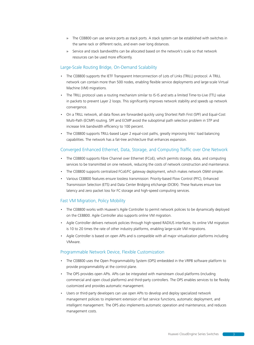- » The CE8800 can use service ports as stack ports. A stack system can be established with switches in the same rack or different racks, and even over long distances.
- » Service and stack bandwidths can be allocated based on the network's scale so that network resources can be used more efficiently.

#### Large-Scale Routing Bridge, On-Demand Scalability

- The CE8800 supports the IETF Transparent Interconnection of Lots of Links (TRILL) protocol. A TRILL network can contain more than 500 nodes, enabling flexible service deployments and large-scale Virtual Machine (VM) migrations.
- The TRILL protocol uses a routing mechanism similar to IS-IS and sets a limited Time-to-Live (TTL) value in packets to prevent Layer 2 loops. This significantly improves network stability and speeds up network convergence.
- On a TRILL network, all data flows are forwarded quickly using Shortest Path First (SPF) and Equal-Cost Multi-Path (ECMP) routing. SPF and ECMP avoid the suboptimal path selection problem in STP and increase link bandwidth efficiency to 100 percent.
- The CE8800 supports TRILL-based Layer 2 equal-cost paths, greatly improving links' load balancing capabilities. The network has a fat-tree architecture that enhances expansion.

#### Converged Enhanced Ethernet, Data, Storage, and Computing Traffic over One Network

- The CE8800 supports Fibre Channel over Ethernet (FCoE), which permits storage, data, and computing services to be transmitted on one network, reducing the costs of network construction and maintenance.
- The CE8800 supports centralized FCoE/FC gateway deployment, which makes network O&M simpler.
- Various CE8800 features ensure lossless transmission: Priority-based Flow Control (PFC), Enhanced Transmission Selection (ETS) and Data Center Bridging eXchange (DCBX). These features ensure low latency and zero packet loss for FC storage and high-speed computing services.

#### Fast VM Migration, Policy Mobility

- The CE8800 works with Huawei's Agile Controller to permit network policies to be dynamically deployed on the CE8800. Agile Controller also supports online VM migration.
- Agile Controller delivers network policies through high-speed RADIUS interfaces. Its online VM migration is 10 to 20 times the rate of other industry platforms, enabling large-scale VM migrations.
- Agile Controller is based on open APIs and is compatible with all major virtualization platforms including VMware.

#### Programmable Network Device, Flexible Customization

- The CE8800 uses the Open Programmability System (OPS) embedded in the VRP8 software platform to provide programmability at the control plane.
- The OPS provides open APIs. APIs can be integrated with mainstream cloud platforms (including commercial and open cloud platforms) and third-party controllers. The OPS enables services to be flexibly customized and provides automatic management.
- Users or third-party developers can use open APIs to develop and deploy specialized network management policies to implement extension of fast service functions, automatic deployment, and intelligent management. The OPS also implements automatic operation and maintenance, and reduces management costs.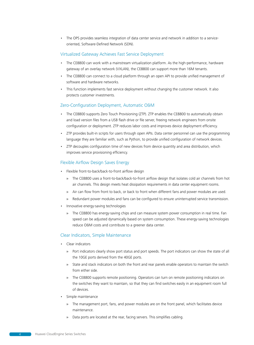• The OPS provides seamless integration of data center service and network in addition to a serviceoriented, Software-Defined Network (SDN).

#### Virtualized Gateway Achieves Fast Service Deployment

- The CE8800 can work with a mainstream virtualization platform. As the high-performance, hardware gateway of an overlay network (VXLAN), the CE8800 can support more than 16M tenants.
- The CE8800 can connect to a cloud platform through an open API to provide unified management of software and hardware networks.
- This function implements fast service deployment without changing the customer network. It also protects customer investments.

#### Zero-Configuration Deployment, Automatic O&M

- The CE8800 supports Zero Touch Provisioning (ZTP). ZTP enables the CE8800 to automatically obtain and load version files from a USB flash drive or file server, freeing network engineers from onsite configuration or deployment. ZTP reduces labor costs and improves device deployment efficiency.
- ZTP provides built-in scripts for users through open APIs. Data center personnel can use the programming language they are familiar with, such as Python, to provide unified configuration of network devices.
- ZTP decouples configuration time of new devices from device quantity and area distribution, which improves service provisioning efficiency.

#### Flexible Airflow Design Saves Energy

- Flexible front-to-back/back-to-front airflow design
	- » The CE8800 uses a front-to-back/back-to-front airflow design that isolates cold air channels from hot air channels. This design meets heat dissipation requirements in data center equipment rooms.
	- » Air can flow from front to back, or back to front when different fans and power modules are used.
	- » Redundant power modules and fans can be configured to ensure uninterrupted service transmission.
- Innovative energy-saving technologies
	- » The CE8800 has energy-saving chips and can measure system power consumption in real time. Fan speed can be adjusted dynamically based on system consumption. These energy-saving technologies reduce O&M costs and contribute to a greener data center.

#### Clear Indicators, Simple Maintenance

- Clear indicators
	- » Port indicators clearly show port status and port speeds. The port indicators can show the state of all the 10GE ports derived from the 40GE ports.
	- » State and stack indicators on both the front and rear panels enable operators to maintain the switch from either side.
	- » The CE8800 supports remote positioning. Operators can turn on remote positioning indicators on the switches they want to maintain, so that they can find switches easily in an equipment room full of devices.
- Simple maintenance
	- » The management port, fans, and power modules are on the front panel, which facilitates device maintenance.
	- » Data ports are located at the rear, facing servers. This simplifies cabling.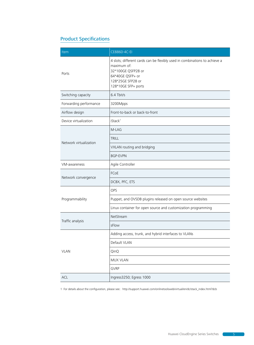## Product Specifications

| Item                   | CE8860-4C-EI                                                                                                                                                                    |
|------------------------|---------------------------------------------------------------------------------------------------------------------------------------------------------------------------------|
| Ports                  | 4 slots; different cards can be flexibly used in combinations to achieve a<br>maximum of:<br>32*100GE QSFP28 or<br>64*40GE QSFP+ or<br>128*25GE SFP28 or<br>128*10GE SFP+ ports |
| Switching capacity     | 6.4 Tbit/s                                                                                                                                                                      |
| Forwarding performance | 3200Mpps                                                                                                                                                                        |
| Airflow design         | Front-to-back or back-to-front                                                                                                                                                  |
| Device virtualization  | $i$ Stack $1$                                                                                                                                                                   |
| Network virtualization | M-LAG                                                                                                                                                                           |
|                        | <b>TRILL</b>                                                                                                                                                                    |
|                        | VXLAN routing and bridging                                                                                                                                                      |
|                        | <b>BGP-EVPN</b>                                                                                                                                                                 |
| VM-awareness           | Agile Controller                                                                                                                                                                |
| Network convergence    | FCoE                                                                                                                                                                            |
|                        | DCBX, PFC, ETS                                                                                                                                                                  |
| Programmability        | OPS                                                                                                                                                                             |
|                        | Puppet, and OVSDB plugins released on open source websites                                                                                                                      |
|                        | Linux container for open source and customization programming                                                                                                                   |
| Traffic analysis       | NetStream                                                                                                                                                                       |
|                        | sFlow                                                                                                                                                                           |
| <b>VLAN</b>            | Adding access, trunk, and hybrid interfaces to VLANs                                                                                                                            |
|                        | Default VLAN                                                                                                                                                                    |
|                        | QinQ                                                                                                                                                                            |
|                        | MUX VLAN                                                                                                                                                                        |
|                        | GVRP                                                                                                                                                                            |
| ACL                    | Ingress3250; Egress 1000                                                                                                                                                        |

1 For details about the configuration, please see: http://support.huawei.com/onlinetoolsweb/virtual/en/dc/stack\_index.html?dcb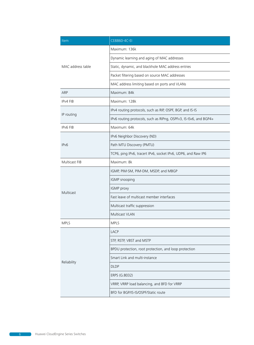| Item                  | CE8860-4C-EI                                                      |
|-----------------------|-------------------------------------------------------------------|
| MAC address table     | Maximum: 136k                                                     |
|                       | Dynamic learning and aging of MAC addresses                       |
|                       | Static, dynamic, and blackhole MAC address entries                |
|                       | Packet filtering based on source MAC addresses                    |
|                       | MAC address limiting based on ports and VLANs                     |
| ARP                   | Maximum: 84k                                                      |
| IP <sub>v</sub> 4 FIB | Maximum: 128k                                                     |
| IP routing            | IPv4 routing protocols, such as RIP, OSPF, BGP, and IS-IS         |
|                       | IPv6 routing protocols, such as RIPng, OSPFv3, IS-ISv6, and BGP4+ |
| <b>IPv6 FIB</b>       | Maximum: 64k                                                      |
|                       | IPv6 Neighbor Discovery (ND)                                      |
| IP <sub>v6</sub>      | Path MTU Discovery (PMTU)                                         |
|                       | TCP6, ping IPv6, tracert IPv6, socket IPv6, UDP6, and Raw IP6     |
| Multicast FIB         | Maximum: 8k                                                       |
|                       | IGMP, PIM-SM, PIM-DM, MSDP, and MBGP                              |
|                       | IGMP snooping                                                     |
| Multicast             | IGMP proxy                                                        |
|                       | Fast leave of multicast member interfaces                         |
|                       | Multicast traffic suppression                                     |
|                       | Multicast VLAN                                                    |
| <b>MPLS</b>           | <b>MPLS</b>                                                       |
| Reliability           | <b>LACP</b>                                                       |
|                       | STP, RSTP, VBST and MSTP                                          |
|                       | BPDU protection, root protection, and loop protection             |
|                       | Smart Link and multi-instance                                     |
|                       | <b>DLDP</b>                                                       |
|                       | ERPS (G.8032)                                                     |
|                       | VRRP, VRRP load balancing, and BFD for VRRP                       |
|                       | BFD for BGP/IS-IS/OSPF/Static route                               |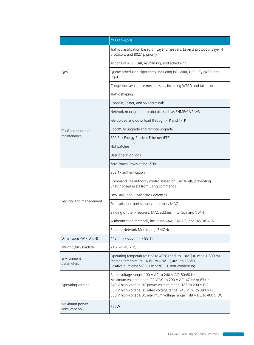| <b>Item</b>                      | CE8860-4C-EI                                                                                                                                                                                                                                                                                                            |
|----------------------------------|-------------------------------------------------------------------------------------------------------------------------------------------------------------------------------------------------------------------------------------------------------------------------------------------------------------------------|
| QoS                              | Traffic classification based on Layer 2 headers, Layer 3 protocols, Layer 4<br>protocols, and 802.1p priority                                                                                                                                                                                                           |
|                                  | Actions of ACL, CAR, re-marking, and scheduling                                                                                                                                                                                                                                                                         |
|                                  | Queue scheduling algorithms, including PQ, WRR, DRR, PQ+WRR, and<br>PQ+DRR                                                                                                                                                                                                                                              |
|                                  | Congestion avoidance mechanisms, including WRED and tail drop                                                                                                                                                                                                                                                           |
|                                  | Traffic shaping                                                                                                                                                                                                                                                                                                         |
| Configuration and<br>maintenance | Console, Telnet, and SSH terminals                                                                                                                                                                                                                                                                                      |
|                                  | Network management protocols, such as SNMPv1/v2c/v3                                                                                                                                                                                                                                                                     |
|                                  | File upload and download through FTP and TFTP                                                                                                                                                                                                                                                                           |
|                                  | BootROM upgrade and remote upgrade                                                                                                                                                                                                                                                                                      |
|                                  | 802.3az Energy Efficient Ethernet (EEE)                                                                                                                                                                                                                                                                                 |
|                                  | Hot patches                                                                                                                                                                                                                                                                                                             |
|                                  | User operation logs                                                                                                                                                                                                                                                                                                     |
|                                  | Zero Touch Provisioning (ZTP)                                                                                                                                                                                                                                                                                           |
|                                  | 802.1x authentication                                                                                                                                                                                                                                                                                                   |
| Security and management          | Command line authority control based on user levels, preventing<br>unauthorized users from using commands                                                                                                                                                                                                               |
|                                  | DoS, ARP, and ICMP attack defenses                                                                                                                                                                                                                                                                                      |
|                                  | Port isolation, port security, and sticky MAC                                                                                                                                                                                                                                                                           |
|                                  | Binding of the IP address, MAC address, interface and VLAN                                                                                                                                                                                                                                                              |
|                                  | Authentication methods, including AAA, RADIUS, and HWTACACS                                                                                                                                                                                                                                                             |
|                                  | Remote Network Monitoring (RMON)                                                                                                                                                                                                                                                                                        |
| Dimensions (W x D x H)           | 442 mm x 600 mm x 88.1 mm                                                                                                                                                                                                                                                                                               |
| Weight (fully loaded)            | 21.2 kg (46.7 lb)                                                                                                                                                                                                                                                                                                       |
| Environment<br>parameters        | Operating temperature: 0°C to 40°C (32°F to 104°F) (0 m to 1,800 m)<br>Storage temperature: -40°C to +70°C (-40°F to 158°F)<br>Relative humidity: 5% RH to 95% RH, non-condensing                                                                                                                                       |
| Operating voltage                | Rated voltage range: 100 V AC to 240 V AC; 50/60 Hz<br>Maximum voltage range: 90 V DC to 290 V AC; 47 Hz to 63 Hz<br>240 V high-voltage DC power voltage range: 188 to 290 V DC<br>380 V high-voltage DC rated voltage range: 240 V DC to 380 V DC<br>380 V high-voltage DC maximum voltage range: 188 V DC to 400 V DC |
| Maximum power<br>consumption     | 750W                                                                                                                                                                                                                                                                                                                    |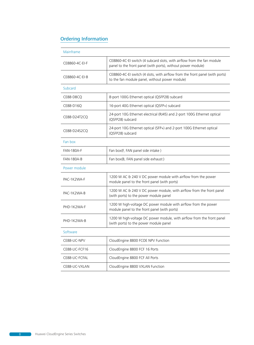### Ordering Information

| Mainframe         |                                                                                                                                        |
|-------------------|----------------------------------------------------------------------------------------------------------------------------------------|
| CE8860-4C-EI-F    | CE8860-4C-EI switch (4 subcard slots, with airflow from the fan module<br>panel to the front panel (with ports), without power module) |
| CE8860-4C-EI-B    | CE8860-4C-EI switch (4 slots, with airflow from the front panel (with ports)<br>to the fan module panel, without power module)         |
| Subcard           |                                                                                                                                        |
| CE88-D8CQ         | 8-port 100G Ethernet optical (QSFP28) subcard                                                                                          |
| CE88-D16Q         | 16-port 40G Ethernet optical (QSFP+) subcard                                                                                           |
| CE88-D24T2CQ      | 24-port 10G Ethernet electrical (RJ45) and 2-port 100G Ethernet optical<br>(QSFP28) subcard                                            |
| CE88-D24S2CQ      | 24-port 10G Ethernet optical (SFP+) and 2-port 100G Ethernet optical<br>(QSFP28) subcard                                               |
| Fan box           |                                                                                                                                        |
| <b>FAN-180A-F</b> | Fan box(F, FAN panel side intake)                                                                                                      |
| <b>FAN-180A-B</b> | Fan box(B, FAN panel side exhaust)                                                                                                     |
| Power module      |                                                                                                                                        |
| PAC-1K2WA-F       | 1200 W AC & 240 V DC power module with airflow from the power<br>module panel to the front panel (with ports)                          |
| PAC-1K2WA-B       | 1200 W AC & 240 V DC power module, with airflow from the front panel<br>(with ports) to the power module panel                         |
| PHD-1K2WA-F       | 1200 W high-voltage DC power module with airflow from the power<br>module panel to the front panel (with ports)                        |
| PHD-1K2WA-B       | 1200 W high-voltage DC power module, with airflow from the front panel<br>(with ports) to the power module panel                       |
| Software          |                                                                                                                                        |
| CE88-LIC-NPV      | CloudEngine 8800 FCOE NPV Function                                                                                                     |
| CE88-LIC-FCF16    | CloudEngine 8800 FCF 16 Ports                                                                                                          |
| CE88-LIC-FCFAL    | CloudEngine 8800 FCF All Ports                                                                                                         |
| CE88-LIC-VXLAN    | CloudEngine 8800 VXLAN Function                                                                                                        |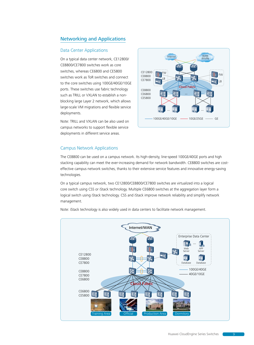#### Networking and Applications

#### Data Center Applications

On a typical data center network, CE12800/ CE8800/CE7800 switches work as core switches, whereas CE6800 and CE5800 switches work as ToR switches and connect to the core switches using 100GE/40GE/10GE ports. These switches use fabric technology such as TRILL or VXLAN to establish a nonblocking large Layer 2 network, which allows large-scale VM migrations and flexible service deployments.

Note: TRILL and VXLAN can be also used on campus networks to support flexible service deployments in different service areas.



#### Campus Network Applications

The CE8800 can be used on a campus network. Its high-density, line-speed 100GE/40GE ports and high stacking capability can meet the ever-increasing demand for network bandwidth. CE8800 switches are costeffective campus network switches, thanks to their extensive service features and innovative energy-saving technologies.

On a typical campus network, two CE12800/CE8800/CE7800 switches are virtualized into a logical core switch using CSS or iStack technology. Multiple CE6800 switches at the aggregation layer form a logical switch using iStack technology. CSS and iStack improve network reliability and simplify network management.



Note: iStack technology is also widely used in data centers to facilitate network management.